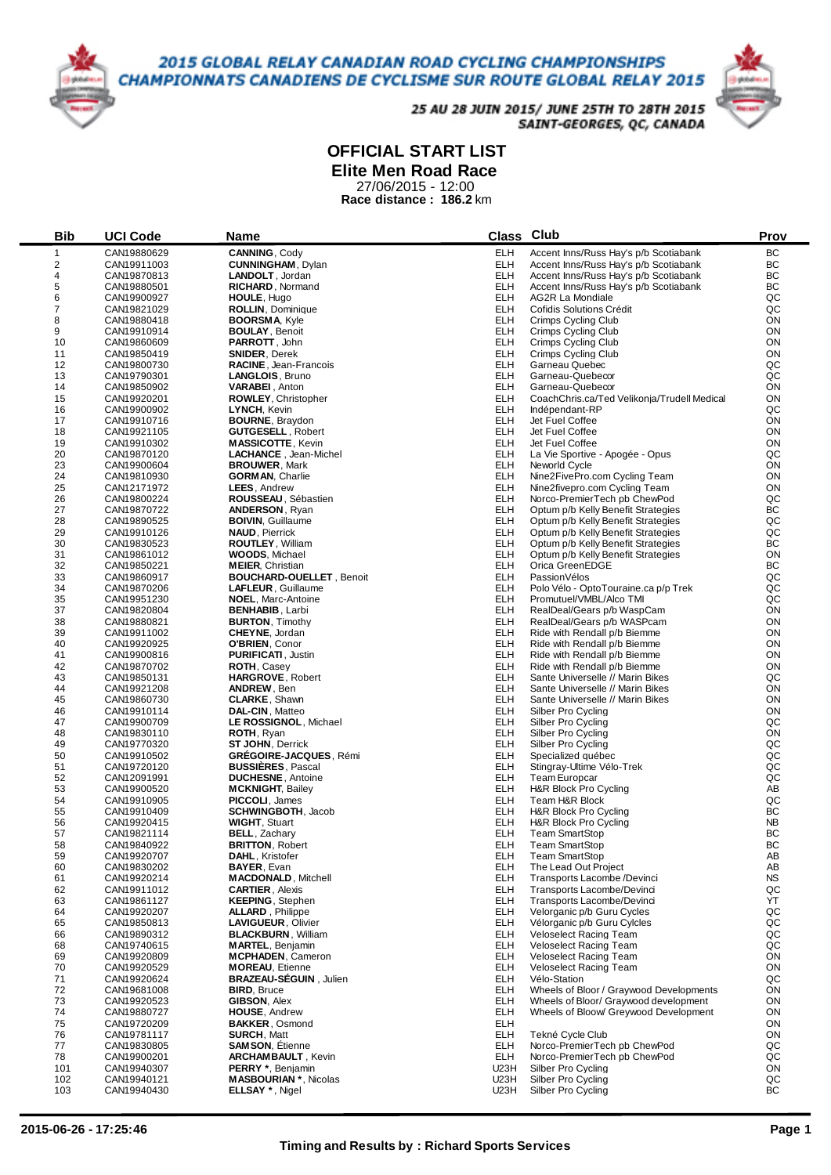## 2015 GLOBAL RELAY CANADIAN ROAD CYCLING CHAMPIONSHIPS **CHAMPIONNATS CANADIENS DE CYCLISME SUR ROUTE GLOBAL RELAY 2015**



25 AU 28 JUIN 2015/ JUNE 25TH TO 28TH 2015 SAINT-GEORGES, QC, CANADA

## **OFFICIAL START LIST**

**Elite Men Road Race**

27/06/2015 - 12:00 **Race distance : 186.2** km

| <b>Bib</b>              | <b>UCI Code</b>            | Name                                              |                          | Class Club                                                               | Prov            |
|-------------------------|----------------------------|---------------------------------------------------|--------------------------|--------------------------------------------------------------------------|-----------------|
| $\mathbf{1}$            | CAN19880629                | CANNING, Cody                                     | <b>ELH</b>               | Accent Inns/Russ Hay's p/b Scotiabank                                    | ВC              |
| $\overline{c}$          | CAN19911003                | <b>CUNNINGHAM, Dylan</b>                          | <b>ELH</b>               | Accent Inns/Russ Hay's p/b Scotiabank                                    | ВC              |
| $\overline{\mathbf{4}}$ | CAN19870813                | LANDOLT, Jordan                                   | <b>ELH</b>               | Accent Inns/Russ Hay's p/b Scotiabank                                    | BC              |
| 5                       | CAN19880501                | RICHARD, Normand                                  | <b>ELH</b>               | Accent Inns/Russ Hay's p/b Scotiabank                                    | ВC              |
| 6                       | CAN19900927                | HOULE, Hugo                                       | <b>ELH</b>               | AG2R La Mondiale                                                         | QC              |
| $\overline{7}$          | CAN19821029                | ROLLIN, Dominique                                 | <b>ELH</b>               | Cofidis Solutions Crédit                                                 | QC              |
| 8                       | CAN19880418                | <b>BOORSMA, Kyle</b>                              | <b>ELH</b>               | <b>Crimps Cycling Club</b>                                               | ON              |
| 9                       | CAN19910914                | <b>BOULAY, Benoit</b>                             | <b>ELH</b>               | Crimps Cycling Club                                                      | ON              |
| 10                      | CAN19860609                | <b>PARROTT, John</b>                              | <b>ELH</b>               | Crimps Cycling Club                                                      | ON              |
| 11                      | CAN19850419                | <b>SNIDER, Derek</b>                              | <b>ELH</b>               | Crimps Cycling Club                                                      | ON              |
| 12                      | CAN19800730                | RACINE, Jean-Francois                             | <b>ELH</b>               | Garneau Quebec                                                           | QC              |
| 13                      | CAN19790301                | LANGLOIS, Bruno                                   | <b>ELH</b>               | Garneau-Quebecor                                                         | QC              |
| 14                      | CAN19850902                | <b>VARABEI, Anton</b>                             | <b>ELH</b>               | Garneau-Quebecor                                                         | ON              |
| 15                      | CAN19920201                | <b>ROWLEY, Christopher</b>                        | <b>ELH</b>               | CoachChris.ca/Ted Velikonja/Trudell Medical                              | ON              |
| 16                      | CAN19900902                | LYNCH, Kevin                                      | <b>ELH</b>               | Indépendant-RP                                                           | QC              |
| 17                      | CAN19910716                | <b>BOURNE, Braydon</b>                            | <b>ELH</b>               | Jet Fuel Coffee                                                          | ON              |
| 18                      | CAN19921105                | <b>GUTGESELL, Robert</b>                          | <b>ELH</b>               | Jet Fuel Coffee                                                          | ON              |
| 19                      | CAN19910302                | <b>MASSICOTTE, Kevin</b>                          | <b>ELH</b>               | Jet Fuel Coffee                                                          | ON              |
| 20                      | CAN19870120                | LACHANCE, Jean-Michel                             | <b>ELH</b>               | La Vie Sportive - Apogée - Opus                                          | QC              |
| 23                      | CAN19900604                | <b>BROUWER, Mark</b>                              | <b>ELH</b><br><b>ELH</b> | Neworld Cycle                                                            | ON<br>ON        |
| 24<br>25                | CAN19810930                | <b>GORMAN, Charlie</b>                            | <b>ELH</b>               | Nine2FivePro.com Cycling Team<br>Nine2fivepro.com Cycling Team           | ON              |
| 26                      | CAN12171972<br>CAN19800224 | <b>LEES, Andrew</b><br>ROUSSEAU, Sébastien        | <b>ELH</b>               | Norco-PremierTech pb ChewPod                                             | QC              |
| 27                      |                            |                                                   | <b>ELH</b>               |                                                                          | ВC              |
| 28                      | CAN19870722                | <b>ANDERSON, Ryan</b><br><b>BOIVIN, Guillaume</b> | <b>ELH</b>               | Optum p/b Kelly Benefit Strategies<br>Optum p/b Kelly Benefit Strategies | QC              |
| 29                      | CAN19890525<br>CAN19910126 | <b>NAUD, Pierrick</b>                             | <b>ELH</b>               | Optum p/b Kelly Benefit Strategies                                       | QC              |
| 30                      | CAN19830523                | ROUTLEY, William                                  | <b>ELH</b>               | Optum p/b Kelly Benefit Strategies                                       | ВC              |
| 31                      | CAN19861012                | <b>WOODS, Michael</b>                             | <b>ELH</b>               | Optum p/b Kelly Benefit Strategies                                       | ON              |
| 32                      | CAN19850221                | <b>MEIER, Christian</b>                           | <b>ELH</b>               | Orica GreenEDGE                                                          | ВC              |
| 33                      | CAN19860917                | <b>BOUCHARD-OUELLET, Benoit</b>                   | <b>ELH</b>               | Passion Vélos                                                            | QC              |
| 34                      | CAN19870206                | LAFLEUR, Guillaume                                | <b>ELH</b>               | Polo Vélo - OptoTouraine.ca p/p Trek                                     | QC              |
| 35                      | CAN19951230                | <b>NOEL, Marc-Antoine</b>                         | <b>ELH</b>               | Promutuel/VMBL/Alco TMI                                                  | QC              |
| 37                      | CAN19820804                | <b>BENHABIB, Larbi</b>                            | <b>ELH</b>               | RealDeal/Gears p/b WaspCam                                               | ON              |
| 38                      | CAN19880821                | <b>BURTON, Timothy</b>                            | <b>ELH</b>               | RealDeal/Gears p/b WASPcam                                               | ON              |
| 39                      | CAN19911002                | <b>CHEYNE, Jordan</b>                             | <b>ELH</b>               | Ride with Rendall p/b Biemme                                             | ON              |
| 40                      | CAN19920925                | O'BRIEN, Conor                                    | <b>ELH</b>               | Ride with Rendall p/b Biemme                                             | ON              |
| 41                      | CAN19900816                | <b>PURIFICATI, Justin</b>                         | <b>ELH</b>               | Ride with Rendall p/b Biemme                                             | ON              |
| 42                      | CAN19870702                | <b>ROTH, Casey</b>                                | <b>ELH</b>               | Ride with Rendall p/b Biemme                                             | ON              |
| 43                      | CAN19850131                | <b>HARGROVE, Robert</b>                           | <b>ELH</b>               | Sante Universelle // Marin Bikes                                         | QC              |
| 44                      | CAN19921208                | <b>ANDREW, Ben</b>                                | <b>ELH</b>               | Sante Universelle // Marin Bikes                                         | ON              |
| 45                      | CAN19860730                | <b>CLARKE, Shawn</b>                              | <b>ELH</b>               | Sante Universelle // Marin Bikes                                         | ON              |
| 46                      | CAN19910114                | DAL-CIN, Matteo                                   | <b>ELH</b>               | Silber Pro Cycling                                                       | ON              |
| 47                      | CAN19900709                | LE ROSSIGNOL, Michael                             | <b>ELH</b>               | Silber Pro Cycling                                                       | QC              |
| 48                      | CAN19830110                | <b>ROTH, Ryan</b>                                 | <b>ELH</b>               | Silber Pro Cycling                                                       | ON              |
| 49                      | CAN19770320                | <b>ST JOHN, Derrick</b>                           | <b>ELH</b>               | Silber Pro Cycling                                                       | QC              |
| 50                      | CAN19910502                | GREGOIRE-JACQUES, Rémi                            | <b>ELH</b>               | Specialized québec                                                       | QC              |
| 51                      | CAN19720120                | <b>BUSSIERES, Pascal</b>                          | <b>ELH</b>               | Stingray-Ultime Vélo-Trek                                                | QC              |
| 52                      | CAN12091991                | <b>DUCHESNE, Antoine</b>                          | <b>ELH</b>               | Team Europcar                                                            | QC              |
| 53                      | CAN19900520                | <b>MCKNIGHT, Bailey</b>                           | <b>ELH</b>               | H&R Block Pro Cycling                                                    | AB              |
| 54                      | CAN19910905                | <b>PICCOLI, James</b>                             | <b>ELH</b>               | Team H&R Block                                                           | QC              |
| 55                      | CAN19910409                | <b>SCHWINGBOTH, Jacob</b>                         | <b>ELH</b>               | H&R Block Pro Cycling                                                    | BC              |
| 56                      | CAN19920415                | <b>WIGHT, Stuart</b>                              | <b>ELH</b>               | H&R Block Pro Cycling                                                    | <b>NB</b><br>BC |
| 57<br>58                | CAN19821114                | <b>BELL, Zachary</b>                              | <b>ELH</b><br><b>ELH</b> | <b>Team SmartStop</b>                                                    | BC              |
| 59                      | CAN19840922<br>CAN19920707 | <b>BRITTON, Robert</b><br>DAHL, Kristofer         | ELH                      | <b>Team SmartStop</b><br><b>Team SmartStop</b>                           | AB              |
| 60                      | CAN19830202                | <b>BAYER, Evan</b>                                | ELH                      | The Lead Out Project                                                     | AB              |
| 61                      | CAN19920214                | <b>MACDONALD, Mitchell</b>                        | <b>ELH</b>               | Transports Lacombe /Devinci                                              | <b>NS</b>       |
| 62                      | CAN19911012                | <b>CARTIER, Alexis</b>                            | <b>ELH</b>               | Transports Lacombe/Devinci                                               | QC              |
| 63                      | CAN19861127                | <b>KEEPING, Stephen</b>                           | <b>ELH</b>               | Transports Lacombe/Devinci                                               | YT              |
| 64                      | CAN19920207                | <b>ALLARD</b> , Philippe                          | <b>ELH</b>               | Velorganic p/b Guru Cycles                                               | QC              |
| 65                      | CAN19850813                | LAVIGUEUR, Olivier                                | <b>ELH</b>               | Vélorganic p/b Guru Cylcles                                              | QC              |
| 66                      | CAN19890312                | <b>BLACKBURN, William</b>                         | <b>ELH</b>               | <b>Veloselect Racing Team</b>                                            | QC              |
| 68                      | CAN19740615                | <b>MARTEL, Benjamin</b>                           | <b>ELH</b>               | <b>Veloselect Racing Team</b>                                            | QC              |
| 69                      | CAN19920809                | <b>MCPHADEN, Cameron</b>                          | <b>ELH</b>               | <b>Veloselect Racing Team</b>                                            | ON              |
| 70                      | CAN19920529                | <b>MOREAU.</b> Etienne                            | <b>ELH</b>               | <b>Veloselect Racing Team</b>                                            | ON              |
| 71                      | CAN19920624                | <b>BRAZEAU-SEGUIN, Julien</b>                     | <b>ELH</b>               | Vélo-Station                                                             | QC              |
| 72                      | CAN19681008                | <b>BIRD, Bruce</b>                                | <b>ELH</b>               | Wheels of Bloor / Graywood Developments                                  | ON              |
| 73                      | CAN19920523                | GIBSON, Alex                                      | <b>ELH</b>               | Wheels of Bloor/ Graywood development                                    | ON              |
| 74                      | CAN19880727                | <b>HOUSE.</b> Andrew                              | <b>ELH</b>               | Wheels of Bloow/ Grevwood Development                                    | ON              |
| 75                      | CAN19720209                | <b>BAKKER, Osmond</b>                             | <b>ELH</b>               |                                                                          | ON              |
| 76                      | CAN19781117                | <b>SURCH, Matt</b>                                | ELH                      | Tekné Cycle Club                                                         | ON              |
| 77                      | CAN19830805                | <b>SAMSON, Etienne</b>                            | ELH                      | Norco-PremierTech pb ChewPod                                             | QC              |
| 78                      | CAN19900201                | <b>ARCHAMBAULT</b> , Kevin                        | ELH                      | Norco-PremierTech pb ChewPod                                             | QC              |
| 101                     | CAN19940307                | <b>PERRY</b> *, Benjamin                          | U23H                     | Silber Pro Cycling                                                       | ON              |
| 102                     | CAN19940121                | <b>MASBOURIAN</b> *, Nicolas                      | U23H                     | Silber Pro Cycling                                                       | QC              |
| 103                     | CAN19940430                | <b>ELLSAY</b> *, Nigel                            | U23H                     | Silber Pro Cycling                                                       | BC              |